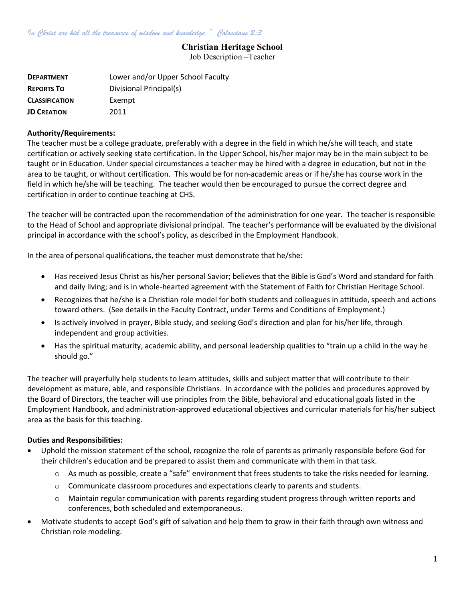## Christian Heritage School

Job Description –Teacher

| <b>DEPARTMENT</b>     | Lower and/or Upper School Faculty |
|-----------------------|-----------------------------------|
| <b>REPORTS TO</b>     | Divisional Principal(s)           |
| <b>CLASSIFICATION</b> | Exempt                            |
| <b>JD CREATION</b>    | 2011                              |

## Authority/Requirements:

The teacher must be a college graduate, preferably with a degree in the field in which he/she will teach, and state certification or actively seeking state certification. In the Upper School, his/her major may be in the main subject to be taught or in Education. Under special circumstances a teacher may be hired with a degree in education, but not in the area to be taught, or without certification. This would be for non-academic areas or if he/she has course work in the field in which he/she will be teaching. The teacher would then be encouraged to pursue the correct degree and certification in order to continue teaching at CHS.

The teacher will be contracted upon the recommendation of the administration for one year. The teacher is responsible to the Head of School and appropriate divisional principal. The teacher's performance will be evaluated by the divisional principal in accordance with the school's policy, as described in the Employment Handbook.

In the area of personal qualifications, the teacher must demonstrate that he/she:

- Has received Jesus Christ as his/her personal Savior; believes that the Bible is God's Word and standard for faith and daily living; and is in whole-hearted agreement with the Statement of Faith for Christian Heritage School.
- Recognizes that he/she is a Christian role model for both students and colleagues in attitude, speech and actions toward others. (See details in the Faculty Contract, under Terms and Conditions of Employment.)
- Is actively involved in prayer, Bible study, and seeking God's direction and plan for his/her life, through independent and group activities.
- Has the spiritual maturity, academic ability, and personal leadership qualities to "train up a child in the way he should go."

The teacher will prayerfully help students to learn attitudes, skills and subject matter that will contribute to their development as mature, able, and responsible Christians. In accordance with the policies and procedures approved by the Board of Directors, the teacher will use principles from the Bible, behavioral and educational goals listed in the Employment Handbook, and administration-approved educational objectives and curricular materials for his/her subject area as the basis for this teaching.

## Duties and Responsibilities:

- Uphold the mission statement of the school, recognize the role of parents as primarily responsible before God for their children's education and be prepared to assist them and communicate with them in that task.
	- $\circ$  As much as possible, create a "safe" environment that frees students to take the risks needed for learning.
	- $\circ$  Communicate classroom procedures and expectations clearly to parents and students.
	- o Maintain regular communication with parents regarding student progress through written reports and conferences, both scheduled and extemporaneous.
- Motivate students to accept God's gift of salvation and help them to grow in their faith through own witness and Christian role modeling.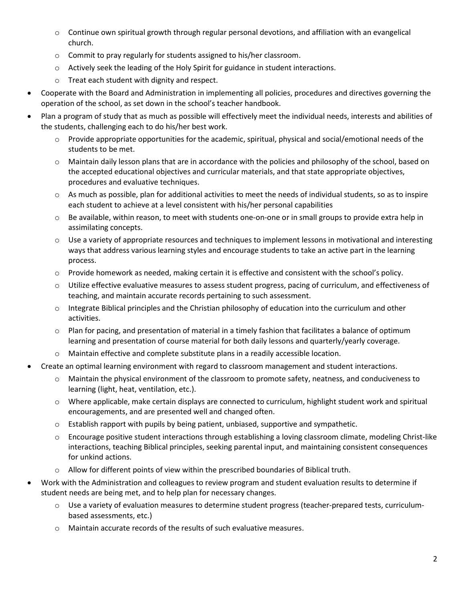- o Continue own spiritual growth through regular personal devotions, and affiliation with an evangelical church.
- o Commit to pray regularly for students assigned to his/her classroom.
- $\circ$  Actively seek the leading of the Holy Spirit for guidance in student interactions.
- o Treat each student with dignity and respect.
- Cooperate with the Board and Administration in implementing all policies, procedures and directives governing the operation of the school, as set down in the school's teacher handbook.
- Plan a program of study that as much as possible will effectively meet the individual needs, interests and abilities of the students, challenging each to do his/her best work.
	- $\circ$  Provide appropriate opportunities for the academic, spiritual, physical and social/emotional needs of the students to be met.
	- o Maintain daily lesson plans that are in accordance with the policies and philosophy of the school, based on the accepted educational objectives and curricular materials, and that state appropriate objectives, procedures and evaluative techniques.
	- $\circ$  As much as possible, plan for additional activities to meet the needs of individual students, so as to inspire each student to achieve at a level consistent with his/her personal capabilities
	- o Be available, within reason, to meet with students one-on-one or in small groups to provide extra help in assimilating concepts.
	- $\circ$  Use a variety of appropriate resources and techniques to implement lessons in motivational and interesting ways that address various learning styles and encourage students to take an active part in the learning process.
	- o Provide homework as needed, making certain it is effective and consistent with the school's policy.
	- $\circ$  Utilize effective evaluative measures to assess student progress, pacing of curriculum, and effectiveness of teaching, and maintain accurate records pertaining to such assessment.
	- $\circ$  Integrate Biblical principles and the Christian philosophy of education into the curriculum and other activities.
	- $\circ$  Plan for pacing, and presentation of material in a timely fashion that facilitates a balance of optimum learning and presentation of course material for both daily lessons and quarterly/yearly coverage.
	- o Maintain effective and complete substitute plans in a readily accessible location.
- Create an optimal learning environment with regard to classroom management and student interactions.
	- o Maintain the physical environment of the classroom to promote safety, neatness, and conduciveness to learning (light, heat, ventilation, etc.).
	- o Where applicable, make certain displays are connected to curriculum, highlight student work and spiritual encouragements, and are presented well and changed often.
	- $\circ$  Establish rapport with pupils by being patient, unbiased, supportive and sympathetic.
	- $\circ$  Encourage positive student interactions through establishing a loving classroom climate, modeling Christ-like interactions, teaching Biblical principles, seeking parental input, and maintaining consistent consequences for unkind actions.
	- $\circ$  Allow for different points of view within the prescribed boundaries of Biblical truth.
- Work with the Administration and colleagues to review program and student evaluation results to determine if student needs are being met, and to help plan for necessary changes.
	- o Use a variety of evaluation measures to determine student progress (teacher-prepared tests, curriculumbased assessments, etc.)
	- o Maintain accurate records of the results of such evaluative measures.